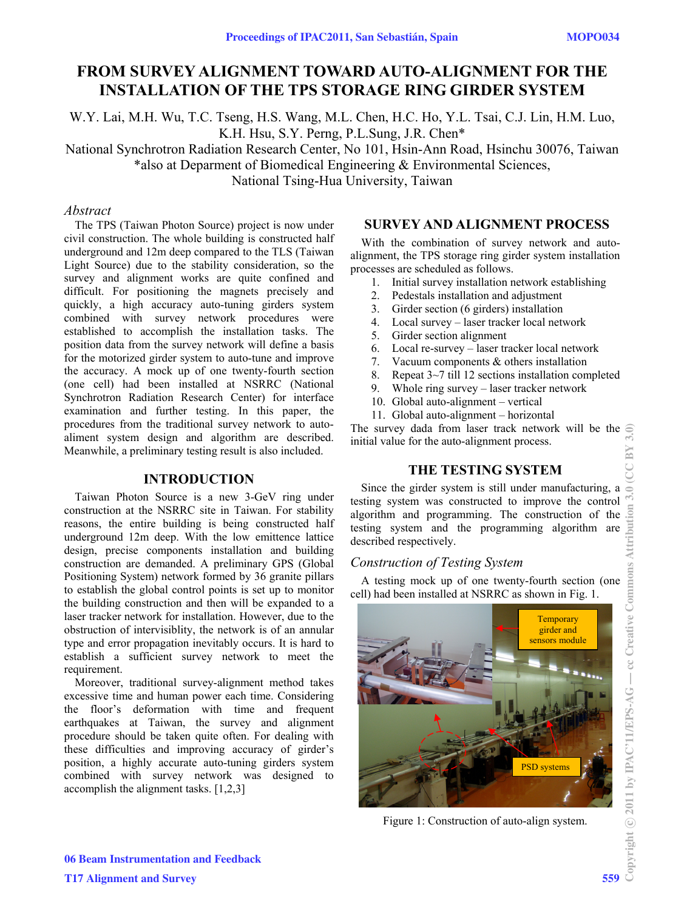# **FROM SURVEY ALIGNMENT TOWARD AUTO-ALIGNMENT FOR THE INSTALLATION OF THE TPS STORAGE RING GIRDER SYSTEM**

W.Y. Lai, M.H. Wu, T.C. Tseng, H.S. Wang, M.L. Chen, H.C. Ho, Y.L. Tsai, C.J. Lin, H.M. Luo, K.H. Hsu, S.Y. Perng, P.L.Sung, J.R. Chen\*

National Synchrotron Radiation Research Center, No 101, Hsin-Ann Road, Hsinchu 30076, Taiwan \*also at Deparment of Biomedical Engineering & Environmental Sciences,

National Tsing-Hua University, Taiwan

### *Abstract*

The TPS (Taiwan Photon Source) project is now under civil construction. The whole building is constructed half underground and 12m deep compared to the TLS (Taiwan Light Source) due to the stability consideration, so the survey and alignment works are quite confined and difficult. For positioning the magnets precisely and quickly, a high accuracy auto-tuning girders system combined with survey network procedures were established to accomplish the installation tasks. The position data from the survey network will define a basis for the motorized girder system to auto-tune and improve the accuracy. A mock up of one twenty-fourth section (one cell) had been installed at NSRRC (National Synchrotron Radiation Research Center) for interface examination and further testing. In this paper, the procedures from the traditional survey network to autoaliment system design and algorithm are described. Meanwhile, a preliminary testing result is also included.

# **INTRODUCTION**

Taiwan Photon Source is a new 3-GeV ring under construction at the NSRRC site in Taiwan. For stability reasons, the entire building is being constructed half underground 12m deep. With the low emittence lattice design, precise components installation and building construction are demanded. A preliminary GPS (Global Positioning System) network formed by 36 granite pillars to establish the global control points is set up to monitor the building construction and then will be expanded to a laser tracker network for installation. However, due to the obstruction of intervisiblity, the network is of an annular type and error propagation inevitably occurs. It is hard to establish a sufficient survey network to meet the requirement.

Moreover, traditional survey-alignment method takes excessive time and human power each time. Considering the floor's deformation with time and frequent earthquakes at Taiwan, the survey and alignment procedure should be taken quite often. For dealing with these difficulties and improving accuracy of girder's position, a highly accurate auto-tuning girders system combined with survey network was designed to accomplish the alignment tasks. [1,2,3]

### **SURVEY AND ALIGNMENT PROCESS**

With the combination of survey network and autoalignment, the TPS storage ring girder system installation processes are scheduled as follows.

- 1. Initial survey installation network establishing
- 2. Pedestals installation and adjustment
- 3. Girder section (6 girders) installation
- 4. Local survey laser tracker local network
- 5. Girder section alignment
- 6. Local re-survey laser tracker local network
- 7. Vacuum components & others installation
- 8. Repeat 3~7 till 12 sections installation completed
- 9. Whole ring survey laser tracker network
- 10. Global auto-alignment vertical
- 11. Global auto-alignment horizontal

The survey dada from laser track network will be the initial value for the auto-alignment process.

# **THE TESTING SYSTEM**

Since the girder system is still under manufacturing, a testing system was constructed to improve the control algorithm and programming. The construction of the testing system and the programming algorithm are described respectively.

# *Construction of Testing System*

A testing mock up of one twenty-fourth section (one cell) had been installed at NSRRC as shown in Fig. 1.



Figure 1: Construction of auto-align system.

06 Beam Instrumentation and Feedback T17 Alignment and Survey 559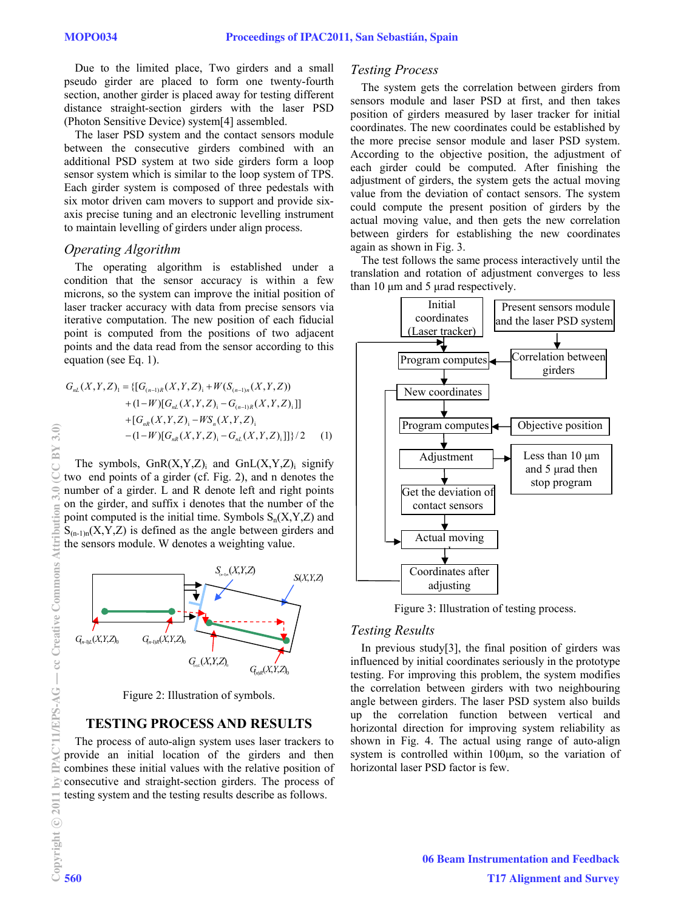Due to the limited place, Two girders and a small pseudo girder are placed to form one twenty-fourth section, another girder is placed away for testing different distance straight-section girders with the laser PSD (Photon Sensitive Device) system[4] assembled.

The laser PSD system and the contact sensors module between the consecutive girders combined with an additional PSD system at two side girders form a loop sensor system which is similar to the loop system of TPS. Each girder system is composed of three pedestals with six motor driven cam movers to support and provide sixaxis precise tuning and an electronic levelling instrument to maintain levelling of girders under align process.

### *Operating Algorithm*

The operating algorithm is established under a condition that the sensor accuracy is within a few microns, so the system can improve the initial position of laser tracker accuracy with data from precise sensors via iterative computation. The new position of each fiducial point is computed from the positions of two adjacent points and the data read from the sensor according to this equation (see Eq. 1).

$$
G_{nL}(X,Y,Z)_{1} = \{ [G_{(n-1)R}(X,Y,Z)_{1} + W(S_{(n-1)n}(X,Y,Z))
$$
  
+  $(1-W)[G_{nL}(X,Y,Z)_{1} - G_{(n-1)R}(X,Y,Z)_{1}] \}$   
+  $[G_{nR}(X,Y,Z)_{1} - W S_{n}(X,Y,Z)_{1}$   
-  $(1-W)[G_{nR}(X,Y,Z)_{1} - G_{nL}(X,Y,Z)_{1}]]\}/2$  (1)

The symbols,  $GnR(X, Y, Z)$ <sub>i</sub> and  $GnL(X, Y, Z)$ <sub>i</sub> signify two end points of a girder (cf. Fig. 2), and n denotes the number of a girder. L and R denote left and right points on the girder, and suffix i denotes that the number of the point computed is the initial time. Symbols  $S_n(X, Y, Z)$  and  $S_{(n-1)n}(X, Y, Z)$  is defined as the angle between girders and the sensors module. W denotes a weighting value.



Figure 2: Illustration of symbols.

### **TESTING PROCESS AND RESULTS**

The process of auto-align system uses laser trackers to provide an initial location of the girders and then combines these initial values with the relative position of consecutive and straight-section girders. The process of testing system and the testing results describe as follows.

#### *Testing Process*

The system gets the correlation between girders from sensors module and laser PSD at first, and then takes position of girders measured by laser tracker for initial coordinates. The new coordinates could be established by the more precise sensor module and laser PSD system. According to the objective position, the adjustment of each girder could be computed. After finishing the adjustment of girders, the system gets the actual moving value from the deviation of contact sensors. The system could compute the present position of girders by the actual moving value, and then gets the new correlation between girders for establishing the new coordinates again as shown in Fig. 3.

The test follows the same process interactively until the translation and rotation of adjustment converges to less than 10 μm and 5 μrad respectively.



Figure 3: Illustration of testing process.

#### *Testing Results*

In previous study[3], the final position of girders was influenced by initial coordinates seriously in the prototype testing. For improving this problem, the system modifies the correlation between girders with two neighbouring angle between girders. The laser PSD system also builds up the correlation function between vertical and horizontal direction for improving system reliability as shown in Fig. 4. The actual using range of auto-align system is controlled within 100μm, so the variation of horizontal laser PSD factor is few.